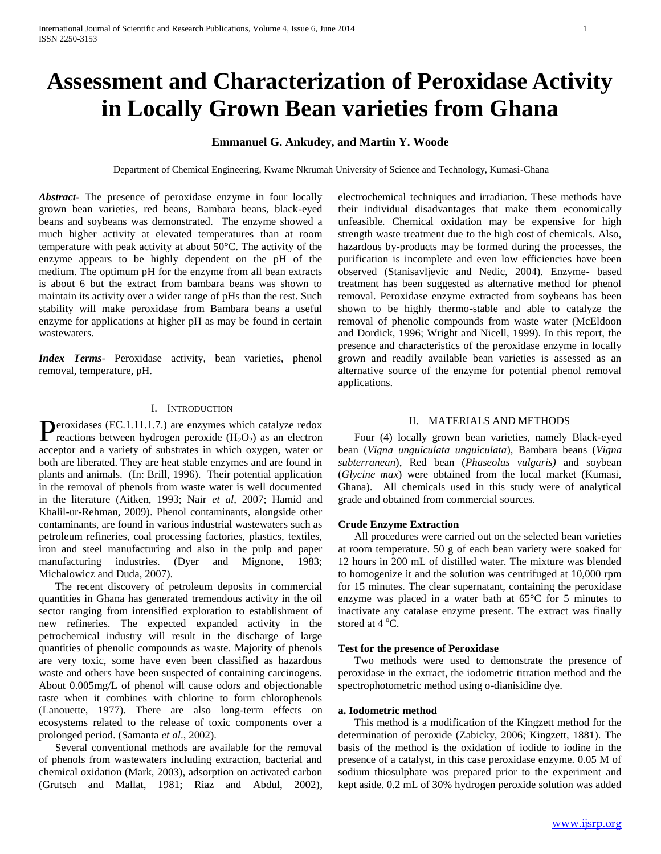# **Assessment and Characterization of Peroxidase Activity in Locally Grown Bean varieties from Ghana**

# **Emmanuel G. Ankudey, and Martin Y. Woode**

Department of Chemical Engineering, Kwame Nkrumah University of Science and Technology, Kumasi-Ghana

*Abstract***-** The presence of peroxidase enzyme in four locally grown bean varieties, red beans, Bambara beans, black-eyed beans and soybeans was demonstrated. The enzyme showed a much higher activity at elevated temperatures than at room temperature with peak activity at about 50°C. The activity of the enzyme appears to be highly dependent on the pH of the medium. The optimum pH for the enzyme from all bean extracts is about 6 but the extract from bambara beans was shown to maintain its activity over a wider range of pHs than the rest. Such stability will make peroxidase from Bambara beans a useful enzyme for applications at higher pH as may be found in certain wastewaters.

*Index Terms*- Peroxidase activity, bean varieties, phenol removal, temperature, pH.

# I. INTRODUCTION

eroxidases (EC.1.11.1.7.) are enzymes which catalyze redox **P**eroxidases (EC.1.11.1.7.) are enzymes which catalyze redox reactions between hydrogen peroxide  $(H_2O_2)$  as an electron acceptor and a variety of substrates in which oxygen, water or both are liberated. They are heat stable enzymes and are found in plants and animals. (In: Brill, 1996). Their potential application in the removal of phenols from waste water is well documented in the literature (Aitken, 1993; Nair *et al*, 2007; Hamid and Khalil-ur-Rehman, 2009). Phenol contaminants, alongside other contaminants, are found in various industrial wastewaters such as petroleum refineries, coal processing factories, plastics, textiles, iron and steel manufacturing and also in the pulp and paper manufacturing industries. (Dyer and Mignone, 1983; Michalowicz and Duda, 2007).

 The recent discovery of petroleum deposits in commercial quantities in Ghana has generated tremendous activity in the oil sector ranging from intensified exploration to establishment of new refineries. The expected expanded activity in the petrochemical industry will result in the discharge of large quantities of phenolic compounds as waste. Majority of phenols are very toxic, some have even been classified as hazardous waste and others have been suspected of containing carcinogens. About 0.005mg/L of phenol will cause odors and objectionable taste when it combines with chlorine to form chlorophenols (Lanouette, 1977). There are also long-term effects on ecosystems related to the release of toxic components over a prolonged period. (Samanta *et al*., 2002).

 Several conventional methods are available for the removal of phenols from wastewaters including extraction, bacterial and chemical oxidation (Mark, 2003), adsorption on activated carbon (Grutsch and Mallat, 1981; Riaz and Abdul, 2002), electrochemical techniques and irradiation. These methods have their individual disadvantages that make them economically unfeasible. Chemical oxidation may be expensive for high strength waste treatment due to the high cost of chemicals. Also, hazardous by-products may be formed during the processes, the purification is incomplete and even low efficiencies have been observed (Stanisavljevic and Nedic, 2004). Enzyme- based treatment has been suggested as alternative method for phenol removal. Peroxidase enzyme extracted from soybeans has been shown to be highly thermo-stable and able to catalyze the removal of phenolic compounds from waste water (McEldoon and Dordick, 1996; Wright and Nicell, 1999). In this report, the presence and characteristics of the peroxidase enzyme in locally grown and readily available bean varieties is assessed as an alternative source of the enzyme for potential phenol removal applications.

# II. MATERIALS AND METHODS

 Four (4) locally grown bean varieties, namely Black-eyed bean (*Vigna unguiculata unguiculata*), Bambara beans (*Vigna subterranean*), Red bean (*Phaseolus vulgaris)* and soybean (*Glycine max*) were obtained from the local market (Kumasi, Ghana). All chemicals used in this study were of analytical grade and obtained from commercial sources.

### **Crude Enzyme Extraction**

 All procedures were carried out on the selected bean varieties at room temperature. 50 g of each bean variety were soaked for 12 hours in 200 mL of distilled water. The mixture was blended to homogenize it and the solution was centrifuged at 10,000 rpm for 15 minutes. The clear supernatant, containing the peroxidase enzyme was placed in a water bath at 65°C for 5 minutes to inactivate any catalase enzyme present. The extract was finally stored at  $4^{\circ}$ C.

## **Test for the presence of Peroxidase**

 Two methods were used to demonstrate the presence of peroxidase in the extract, the iodometric titration method and the spectrophotometric method using o-dianisidine dye.

# **a. Iodometric method**

 This method is a modification of the Kingzett method for the determination of peroxide (Zabicky, 2006; Kingzett, 1881). The basis of the method is the oxidation of iodide to iodine in the presence of a catalyst, in this case peroxidase enzyme. 0.05 M of sodium thiosulphate was prepared prior to the experiment and kept aside. 0.2 mL of 30% hydrogen peroxide solution was added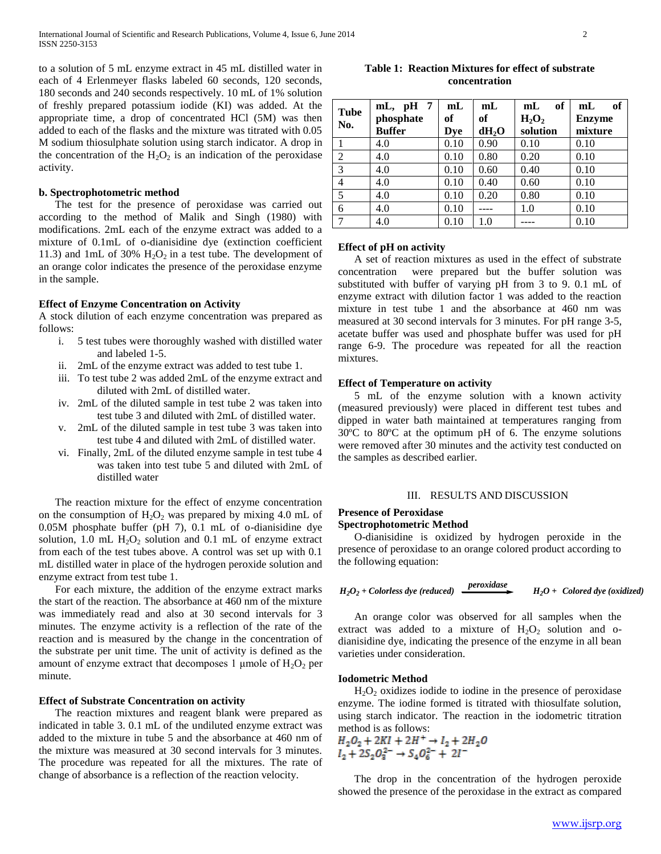to a solution of 5 mL enzyme extract in 45 mL distilled water in each of 4 Erlenmeyer flasks labeled 60 seconds, 120 seconds, 180 seconds and 240 seconds respectively. 10 mL of 1% solution of freshly prepared potassium iodide (KI) was added. At the appropriate time, a drop of concentrated HCl (5M) was then added to each of the flasks and the mixture was titrated with 0.05 M sodium thiosulphate solution using starch indicator. A drop in the concentration of the  $H_2O_2$  is an indication of the peroxidase activity.

#### **b. Spectrophotometric method**

 The test for the presence of peroxidase was carried out according to the method of Malik and Singh (1980) with modifications. 2mL each of the enzyme extract was added to a mixture of 0.1mL of o-dianisidine dye (extinction coefficient 11.3) and 1mL of 30%  $H_2O_2$  in a test tube. The development of an orange color indicates the presence of the peroxidase enzyme in the sample.

## **Effect of Enzyme Concentration on Activity**

A stock dilution of each enzyme concentration was prepared as follows:

- i. 5 test tubes were thoroughly washed with distilled water and labeled 1-5.
- ii. 2mL of the enzyme extract was added to test tube 1.
- iii. To test tube 2 was added 2mL of the enzyme extract and diluted with 2mL of distilled water.
- iv. 2mL of the diluted sample in test tube 2 was taken into test tube 3 and diluted with 2mL of distilled water.
- v. 2mL of the diluted sample in test tube 3 was taken into test tube 4 and diluted with 2mL of distilled water.
- vi. Finally, 2mL of the diluted enzyme sample in test tube 4 was taken into test tube 5 and diluted with 2mL of distilled water

 The reaction mixture for the effect of enzyme concentration on the consumption of  $H_2O_2$  was prepared by mixing 4.0 mL of 0.05M phosphate buffer (pH 7), 0.1 mL of o-dianisidine dye solution, 1.0 mL  $H_2O_2$  solution and 0.1 mL of enzyme extract from each of the test tubes above. A control was set up with 0.1 mL distilled water in place of the hydrogen peroxide solution and enzyme extract from test tube 1.

 For each mixture, the addition of the enzyme extract marks the start of the reaction. The absorbance at 460 nm of the mixture was immediately read and also at 30 second intervals for 3 minutes. The enzyme activity is a reflection of the rate of the reaction and is measured by the change in the concentration of the substrate per unit time. The unit of activity is defined as the amount of enzyme extract that decomposes 1 µmole of  $H_2O_2$  per minute.

# **Effect of Substrate Concentration on activity**

 The reaction mixtures and reagent blank were prepared as indicated in table 3. 0.1 mL of the undiluted enzyme extract was added to the mixture in tube 5 and the absorbance at 460 nm of the mixture was measured at 30 second intervals for 3 minutes. The procedure was repeated for all the mixtures. The rate of change of absorbance is a reflection of the reaction velocity.

**Table 1: Reaction Mixtures for effect of substrate concentration**

| <b>Tube</b><br>No. | $mL$ , pH 7<br>phosphate<br><b>Buffer</b> | mL<br>of<br>Dve | mL<br>of<br>$dH_2O$ | of<br>mL<br>$H_2O_2$<br>solution | of<br>mL<br><b>Enzyme</b><br>mixture |
|--------------------|-------------------------------------------|-----------------|---------------------|----------------------------------|--------------------------------------|
|                    | 4.0                                       | 0.10            | 0.90                | 0.10                             | 0.10                                 |
| $\overline{2}$     | 4.0                                       | 0.10            | 0.80                | 0.20                             | 0.10                                 |
| 3                  | 4.0                                       | 0.10            | 0.60                | 0.40                             | 0.10                                 |
| $\overline{4}$     | 4.0                                       | 0.10            | 0.40                | 0.60                             | 0.10                                 |
| 5                  | 4.0                                       | 0.10            | 0.20                | 0.80                             | 0.10                                 |
| 6                  | 4.0                                       | 0.10            |                     | 1.0                              | 0.10                                 |
|                    | 4.0                                       | 0.10            | 1.0                 |                                  | 0.10                                 |

# **Effect of pH on activity**

 A set of reaction mixtures as used in the effect of substrate concentration were prepared but the buffer solution was substituted with buffer of varying pH from 3 to 9. 0.1 mL of enzyme extract with dilution factor 1 was added to the reaction mixture in test tube 1 and the absorbance at 460 nm was measured at 30 second intervals for 3 minutes. For pH range 3-5, acetate buffer was used and phosphate buffer was used for pH range 6-9. The procedure was repeated for all the reaction mixtures.

### **Effect of Temperature on activity**

 5 mL of the enzyme solution with a known activity (measured previously) were placed in different test tubes and dipped in water bath maintained at temperatures ranging from 30ºC to 80ºC at the optimum pH of 6. The enzyme solutions were removed after 30 minutes and the activity test conducted on the samples as described earlier.

#### III. RESULTS AND DISCUSSION

# **Presence of Peroxidase Spectrophotometric Method**

 O-dianisidine is oxidized by hydrogen peroxide in the presence of peroxidase to an orange colored product according to the following equation:

$$
H_2O_2 + \text{Colorless dye (reduced)} \quad \xrightarrow{\text{peroxidase}} \qquad H_2O + \text{ Colorado dye (oxidized)}
$$

 An orange color was observed for all samples when the extract was added to a mixture of  $H_2O_2$  solution and odianisidine dye, indicating the presence of the enzyme in all bean varieties under consideration.

#### **Iodometric Method**

 $H_2O_2$  oxidizes iodide to iodine in the presence of peroxidase enzyme. The iodine formed is titrated with thiosulfate solution, using starch indicator. The reaction in the iodometric titration

method is as follows:<br>  $H_2O_2 + 2KI + 2H^+ \rightarrow I_2 + 2H_2O$ <br>  $I_2 + 2S_2O_3^{2-} \rightarrow S_4O_6^{2-} + 2I^-$ 

 The drop in the concentration of the hydrogen peroxide showed the presence of the peroxidase in the extract as compared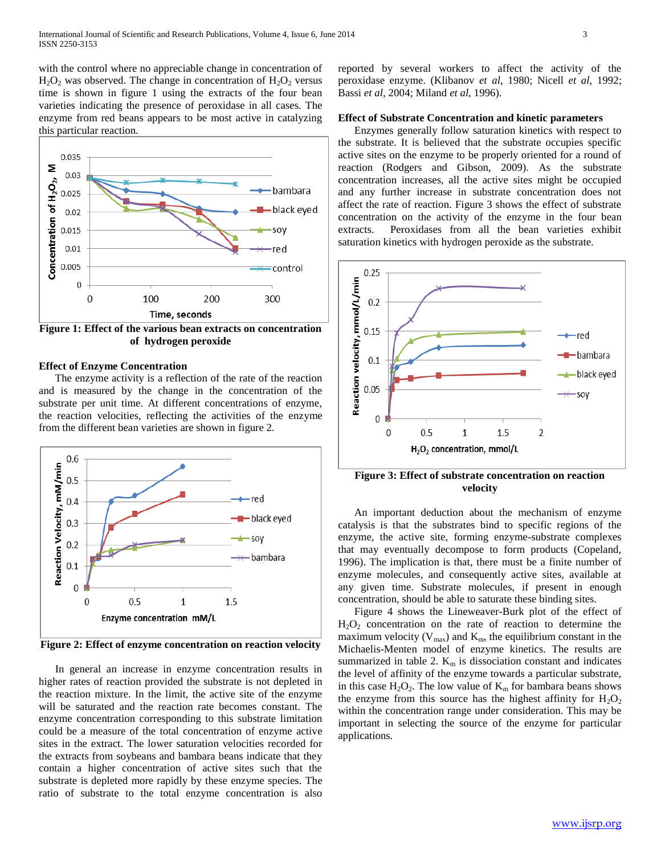with the control where no appreciable change in concentration of  $H_2O_2$  was observed. The change in concentration of  $H_2O_2$  versus time is shown in figure 1 using the extracts of the four bean varieties indicating the presence of peroxidase in all cases. The enzyme from red beans appears to be most active in catalyzing this particular reaction.



**Figure 1: Effect of the various bean extracts on concentration of hydrogen peroxide**

# **Effect of Enzyme Concentration**

 The enzyme activity is a reflection of the rate of the reaction and is measured by the change in the concentration of the substrate per unit time. At different concentrations of enzyme, the reaction velocities, reflecting the activities of the enzyme from the different bean varieties are shown in figure 2.



**Figure 2: Effect of enzyme concentration on reaction velocity**

 In general an increase in enzyme concentration results in higher rates of reaction provided the substrate is not depleted in the reaction mixture. In the limit, the active site of the enzyme will be saturated and the reaction rate becomes constant. The enzyme concentration corresponding to this substrate limitation could be a measure of the total concentration of enzyme active sites in the extract. The lower saturation velocities recorded for the extracts from soybeans and bambara beans indicate that they contain a higher concentration of active sites such that the substrate is depleted more rapidly by these enzyme species. The ratio of substrate to the total enzyme concentration is also

reported by several workers to affect the activity of the peroxidase enzyme. (Klibanov *et al*, 1980; Nicell *et al*, 1992; Bassi *et al*, 2004; Miland *et al*, 1996).

## **Effect of Substrate Concentration and kinetic parameters**

 Enzymes generally follow saturation kinetics with respect to the substrate. It is believed that the substrate occupies specific active sites on the enzyme to be properly oriented for a round of reaction (Rodgers and Gibson, 2009). As the substrate concentration increases, all the active sites might be occupied and any further increase in substrate concentration does not affect the rate of reaction. Figure 3 shows the effect of substrate concentration on the activity of the enzyme in the four bean extracts. Peroxidases from all the bean varieties exhibit saturation kinetics with hydrogen peroxide as the substrate.



**Figure 3: Effect of substrate concentration on reaction velocity**

 An important deduction about the mechanism of enzyme catalysis is that the substrates bind to specific regions of the enzyme, the active site, forming enzyme-substrate complexes that may eventually decompose to form products (Copeland, 1996). The implication is that, there must be a finite number of enzyme molecules, and consequently active sites, available at any given time. Substrate molecules, if present in enough concentration, should be able to saturate these binding sites.

 Figure 4 shows the Lineweaver-Burk plot of the effect of  $H<sub>2</sub>O<sub>2</sub>$  concentration on the rate of reaction to determine the maximum velocity ( $V_{\text{max}}$ ) and  $K_{\text{m}}$ , the equilibrium constant in the Michaelis-Menten model of enzyme kinetics. The results are summarized in table 2.  $K_m$  is dissociation constant and indicates the level of affinity of the enzyme towards a particular substrate, in this case  $H_2O_2$ . The low value of  $K_m$  for bambara beans shows the enzyme from this source has the highest affinity for  $H_2O_2$ within the concentration range under consideration. This may be important in selecting the source of the enzyme for particular applications.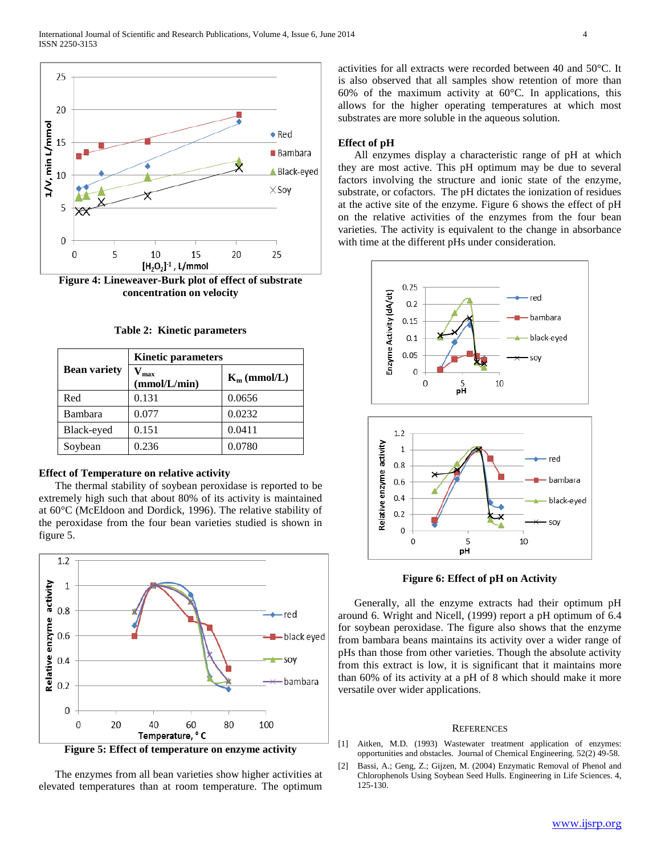

**Figure 4: Lineweaver-Burk plot of effect of substrate concentration on velocity**

| <b>Table 2: Kinetic parameters</b> |  |
|------------------------------------|--|
|------------------------------------|--|

|                     | <b>Kinetic parameters</b> |                |  |  |
|---------------------|---------------------------|----------------|--|--|
| <b>Bean variety</b> | max<br>(mmol/L/min)       | $K_m$ (mmol/L) |  |  |
| Red                 | 0.131                     | 0.0656         |  |  |
| Bambara             | 0.077                     | 0.0232         |  |  |
| Black-eyed          | 0.151                     | 0.0411         |  |  |
| Soybean             | 0.236                     | 0.0780         |  |  |

## **Effect of Temperature on relative activity**

 The thermal stability of soybean peroxidase is reported to be extremely high such that about 80% of its activity is maintained at 60°C (McEldoon and Dordick, 1996). The relative stability of the peroxidase from the four bean varieties studied is shown in figure 5.



**Figure 5: Effect of temperature on enzyme activity**

 The enzymes from all bean varieties show higher activities at elevated temperatures than at room temperature. The optimum activities for all extracts were recorded between 40 and 50°C. It is also observed that all samples show retention of more than 60% of the maximum activity at  $60^{\circ}$ C. In applications, this allows for the higher operating temperatures at which most substrates are more soluble in the aqueous solution.

## **Effect of pH**

 All enzymes display a characteristic range of pH at which they are most active. This pH optimum may be due to several factors involving the structure and ionic state of the enzyme, substrate, or cofactors. The pH dictates the ionization of residues at the active site of the enzyme. Figure 6 shows the effect of pH on the relative activities of the enzymes from the four bean varieties. The activity is equivalent to the change in absorbance with time at the different pHs under consideration.



**Figure 6: Effect of pH on Activity**

 Generally, all the enzyme extracts had their optimum pH around 6. Wright and Nicell, (1999) report a pH optimum of 6.4 for soybean peroxidase. The figure also shows that the enzyme from bambara beans maintains its activity over a wider range of pHs than those from other varieties. Though the absolute activity from this extract is low, it is significant that it maintains more than 60% of its activity at a pH of 8 which should make it more versatile over wider applications.

#### **REFERENCES**

- [1] Aitken, M.D. (1993) Wastewater treatment application of enzymes: opportunities and obstacles. Journal of Chemical Engineering. 52(2) 49-58.
- [2] Bassi, A.; Geng, Z.; Gijzen, M. (2004) Enzymatic Removal of Phenol and Chlorophenols Using Soybean Seed Hulls. Engineering in Life Sciences. 4, 125-130.